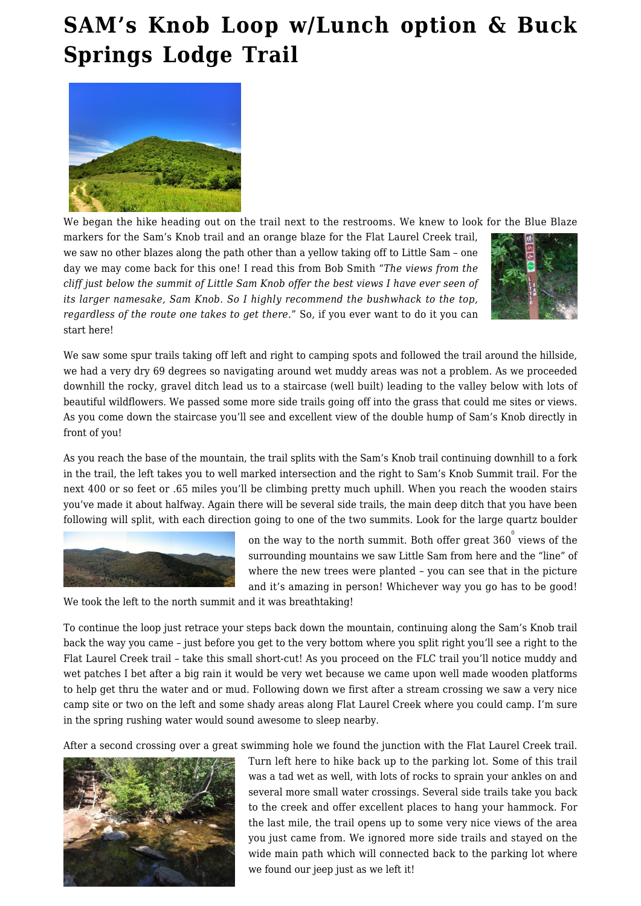## **[SAM's Knob Loop w/Lunch option & Buck](https://www.busyhiker.com/sams-knob-loop/) [Springs Lodge Trail](https://www.busyhiker.com/sams-knob-loop/)**



We began the hike heading out on the trail next to the restrooms. We knew to look for the Blue Blaze

markers for the Sam's Knob trail and an orange blaze for the Flat Laurel Creek trail, we saw no other blazes along the path other than a yellow taking off to Little Sam – one day we may come back for this one! I read this from Bob Smith "*The views from the cliff just below the summit of Little Sam Knob offer the best views I have ever seen of its larger namesake, Sam Knob. So I highly recommend the bushwhack to the top, regardless of the route one takes to get there.*" So, if you ever want to do it you can start here!



We saw some spur trails taking off left and right to camping spots and followed the trail around the hillside, we had a very dry 69 degrees so navigating around wet muddy areas was not a problem. As we proceeded downhill the rocky, gravel ditch lead us to a staircase (well built) leading to the valley below with lots of beautiful wildflowers. We passed some more side trails going off into the grass that could me sites or views. As you come down the staircase you'll see and excellent view of the double hump of Sam's Knob directly in front of you!

> on the way to the north summit. Both offer great 360 $^{\circ}$  views of the surrounding mountains we saw Little Sam from here and the "line" of where the new trees were planted – you can see that in the picture and it's amazing in person! Whichever way you go has to be good!

As you reach the base of the mountain, the trail splits with the Sam's Knob trail continuing downhill to a fork in the trail, the left takes you to well marked intersection and the right to Sam's Knob Summit trail. For the next 400 or so feet or .65 miles you'll be climbing pretty much uphill. When you reach the wooden stairs you've made it about halfway. Again there will be several side trails, the main deep ditch that you have been following will split, with each direction going to one of the two summits. Look for the large quartz boulder



We took the left to the north summit and it was breathtaking!

To continue the loop just retrace your steps back down the mountain, continuing along the Sam's Knob trail back the way you came – just before you get to the very bottom where you split right you'll see a right to the Flat Laurel Creek trail – take this small short-cut! As you proceed on the FLC trail you'll notice muddy and wet patches I bet after a big rain it would be very wet because we came upon well made wooden platforms

to help get thru the water and or mud. Following down we first after a stream crossing we saw a very nice camp site or two on the left and some shady areas along Flat Laurel Creek where you could camp. I'm sure in the spring rushing water would sound awesome to sleep nearby.

After a second crossing over a great swimming hole we found the junction with the Flat Laurel Creek trail.



Turn left here to hike back up to the parking lot. Some of this trail was a tad wet as well, with lots of rocks to sprain your ankles on and several more small water crossings. Several side trails take you back to the creek and offer excellent places to hang your hammock. For the last mile, the trail opens up to some very nice views of the area you just came from. We ignored more side trails and stayed on the wide main path which will connected back to the parking lot where we found our jeep just as we left it!